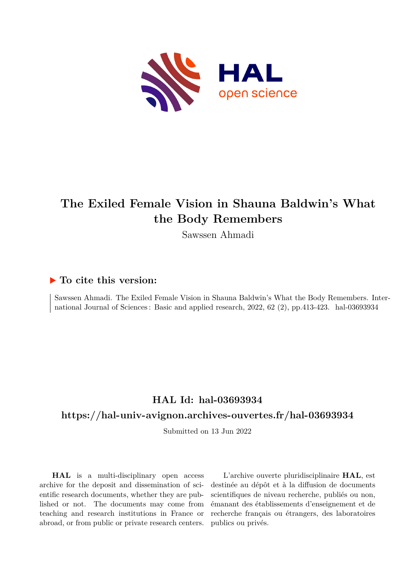

## **The Exiled Female Vision in Shauna Baldwin's What the Body Remembers**

Sawssen Ahmadi

### **To cite this version:**

Sawssen Ahmadi. The Exiled Female Vision in Shauna Baldwin's What the Body Remembers. International Journal of Sciences: Basic and applied research, 2022, 62 (2), pp.413-423. hal-03693934

## **HAL Id: hal-03693934**

## **<https://hal-univ-avignon.archives-ouvertes.fr/hal-03693934>**

Submitted on 13 Jun 2022

**HAL** is a multi-disciplinary open access archive for the deposit and dissemination of scientific research documents, whether they are published or not. The documents may come from teaching and research institutions in France or abroad, or from public or private research centers.

L'archive ouverte pluridisciplinaire **HAL**, est destinée au dépôt et à la diffusion de documents scientifiques de niveau recherche, publiés ou non, émanant des établissements d'enseignement et de recherche français ou étrangers, des laboratoires publics ou privés.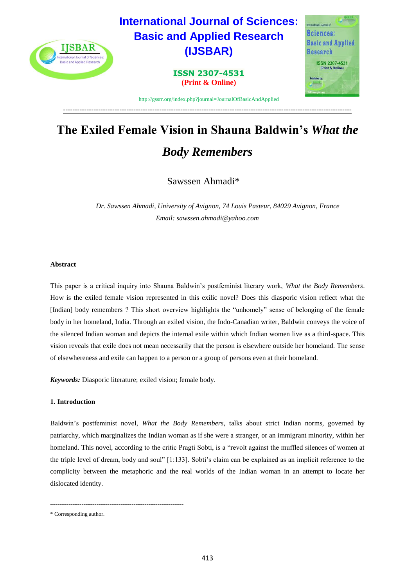

# **The Exiled Female Vision in Shauna Baldwin's** *What the Body Remembers*

---------------------------------------------------------------------------------------------------------------------------

Sawssen Ahmadi\*

 *Dr. Sawssen Ahmadi, University of Avignon, 74 Louis Pasteur, 84029 Avignon, France Email: [sawssen.ahmadi@yahoo.com](mailto:sawssen.ahmadi@yahoo.com)*

#### **Abstract**

This paper is a critical inquiry into Shauna Baldwin's postfeminist literary work, *What the Body Remembers*. How is the exiled female vision represented in this exilic novel? Does this diasporic vision reflect what the [Indian] body remembers ? This short overview highlights the "unhomely" sense of belonging of the female body in her homeland, India. Through an exiled vision, the Indo-Canadian writer, Baldwin conveys the voice of the silenced Indian woman and depicts the internal exile within which Indian women live as a third-space. This vision reveals that exile does not mean necessarily that the person is elsewhere outside her homeland. The sense of elsewhereness and exile can happen to a person or a group of persons even at their homeland.

*Keywords:* Diasporic literature; exiled vision; female body.

#### **1. Introduction**

Baldwin's postfeminist novel, *What the Body Remembers*, talks about strict Indian norms, governed by patriarchy, which marginalizes the Indian woman as if she were a stranger, or an immigrant minority, within her homeland. This novel, according to the critic Pragti Sobti, is a "revolt against the muffled silences of women at the triple level of dream, body and soul" [1:133]. Sobti's claim can be explained as an implicit reference to the complicity between the metaphoric and the real worlds of the Indian woman in an attempt to locate her dislocated identity.

------------------------------------------------------------------------

<sup>\*</sup> Corresponding author.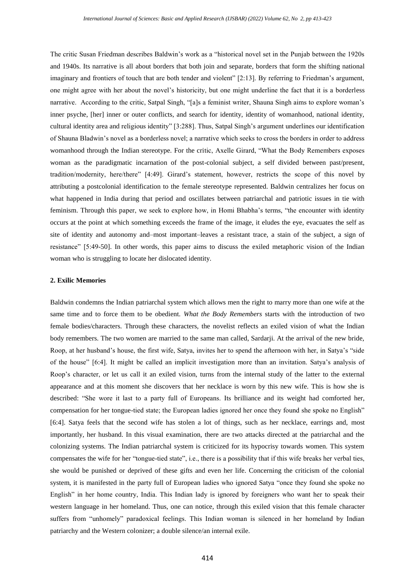The critic Susan Friedman describes Baldwin's work as a "historical novel set in the Punjab between the 1920s and 1940s. Its narrative is all about borders that both join and separate, borders that form the shifting national imaginary and frontiers of touch that are both tender and violent" [2:13]. By referring to Friedman's argument, one might agree with her about the novel's historicity, but one might underline the fact that it is a borderless narrative. According to the critic, Satpal Singh, "[a]s a feminist writer, Shauna Singh aims to explore woman's inner psyche, [her] inner or outer conflicts, and search for identity, identity of womanhood, national identity, cultural identity area and religious identity" [3:288]. Thus, Satpal Singh's argument underlines our identification of Shauna Bladwin's novel as a borderless novel; a narrative which seeks to cross the borders in order to address womanhood through the Indian stereotype. For the critic, Axelle Girard, "What the Body Remembers exposes woman as the paradigmatic incarnation of the post-colonial subject, a self divided between past/present, tradition/modernity, here/there" [4:49]. Girard's statement, however, restricts the scope of this novel by attributing a postcolonial identification to the female stereotype represented. Baldwin centralizes her focus on what happened in India during that period and oscillates between patriarchal and patriotic issues in tie with feminism. Through this paper, we seek to explore how, in Homi Bhabha's terms, "the encounter with identity occurs at the point at which something exceeds the frame of the image, it eludes the eye, evacuates the self as site of identity and autonomy and–most important–leaves a resistant trace, a stain of the subject, a sign of resistance" [5:49-50]. In other words, this paper aims to discuss the exiled metaphoric vision of the Indian woman who is struggling to locate her dislocated identity.

#### **2. Exilic Memories**

Baldwin condemns the Indian patriarchal system which allows men the right to marry more than one wife at the same time and to force them to be obedient. *What the Body Remembers* starts with the introduction of two female bodies/characters. Through these characters, the novelist reflects an exiled vision of what the Indian body remembers. The two women are married to the same man called, Sardarji. At the arrival of the new bride, Roop, at her husband's house, the first wife, Satya, invites her to spend the afternoon with her, in Satya's "side of the house" [6:4]. It might be called an implicit investigation more than an invitation. Satya's analysis of Roop's character, or let us call it an exiled vision, turns from the internal study of the latter to the external appearance and at this moment she discovers that her necklace is worn by this new wife. This is how she is described: "She wore it last to a party full of Europeans. Its brilliance and its weight had comforted her, compensation for her tongue-tied state; the European ladies ignored her once they found she spoke no English" [6:4]. Satya feels that the second wife has stolen a lot of things, such as her necklace, earrings and, most importantly, her husband. In this visual examination, there are two attacks directed at the patriarchal and the colonizing systems. The Indian patriarchal system is criticized for its hypocrisy towards women. This system compensates the wife for her "tongue-tied state", i.e., there is a possibility that if this wife breaks her verbal ties, she would be punished or deprived of these gifts and even her life. Concerning the criticism of the colonial system, it is manifested in the party full of European ladies who ignored Satya "once they found she spoke no English" in her home country, India. This Indian lady is ignored by foreigners who want her to speak their western language in her homeland. Thus, one can notice, through this exiled vision that this female character suffers from "unhomely" paradoxical feelings. This Indian woman is silenced in her homeland by Indian patriarchy and the Western colonizer; a double silence/an internal exile.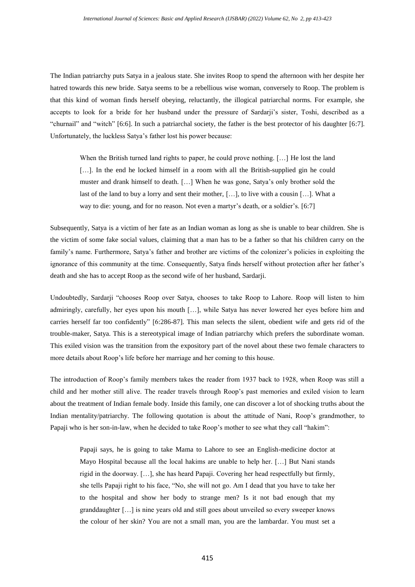The Indian patriarchy puts Satya in a jealous state. She invites Roop to spend the afternoon with her despite her hatred towards this new bride. Satya seems to be a rebellious wise woman, conversely to Roop. The problem is that this kind of woman finds herself obeying, reluctantly, the illogical patriarchal norms. For example, she accepts to look for a bride for her husband under the pressure of Sardarji's sister, Toshi, described as a "churnail" and "witch" [6:6]. In such a patriarchal society, the father is the best protector of his daughter [6:7]. Unfortunately, the luckless Satya's father lost his power because:

When the British turned land rights to paper, he could prove nothing. […] He lost the land [...]. In the end he locked himself in a room with all the British-supplied gin he could muster and drank himself to death. […] When he was gone, Satya's only brother sold the last of the land to buy a lorry and sent their mother, […], to live with a cousin […]. What a way to die: young, and for no reason. Not even a martyr's death, or a soldier's. [6:7]

Subsequently, Satya is a victim of her fate as an Indian woman as long as she is unable to bear children. She is the victim of some fake social values, claiming that a man has to be a father so that his children carry on the family's name. Furthermore, Satya's father and brother are victims of the colonizer's policies in exploiting the ignorance of this community at the time. Consequently, Satya finds herself without protection after her father's death and she has to accept Roop as the second wife of her husband, Sardarji.

Undoubtedly, Sardarji "chooses Roop over Satya, chooses to take Roop to Lahore. Roop will listen to him admiringly, carefully, her eyes upon his mouth […], while Satya has never lowered her eyes before him and carries herself far too confidently" [6:286-87]. This man selects the silent, obedient wife and gets rid of the trouble-maker, Satya. This is a stereotypical image of Indian patriarchy which prefers the subordinate woman. This exiled vision was the transition from the expository part of the novel about these two female characters to more details about Roop's life before her marriage and her coming to this house.

The introduction of Roop's family members takes the reader from 1937 back to 1928, when Roop was still a child and her mother still alive. The reader travels through Roop's past memories and exiled vision to learn about the treatment of Indian female body. Inside this family, one can discover a lot of shocking truths about the Indian mentality/patriarchy. The following quotation is about the attitude of Nani, Roop's grandmother, to Papaji who is her son-in-law, when he decided to take Roop's mother to see what they call "hakim":

Papaji says, he is going to take Mama to Lahore to see an English-medicine doctor at Mayo Hospital because all the local hakims are unable to help her. […] But Nani stands rigid in the doorway. […], she has heard Papaji. Covering her head respectfully but firmly, she tells Papaji right to his face, "No, she will not go. Am I dead that you have to take her to the hospital and show her body to strange men? Is it not bad enough that my granddaughter […] is nine years old and still goes about unveiled so every sweeper knows the colour of her skin? You are not a small man, you are the lambardar. You must set a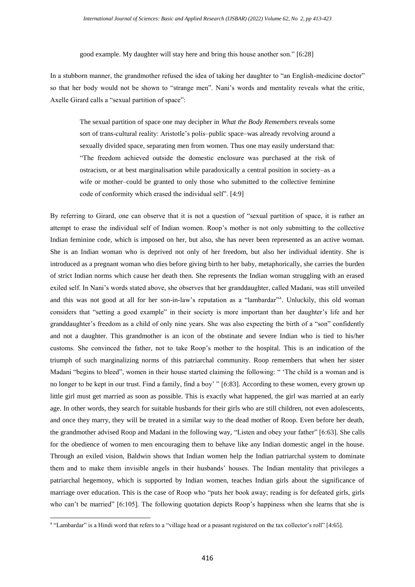good example. My daughter will stay here and bring this house another son." [6:28]

In a stubborn manner, the grandmother refused the idea of taking her daughter to "an English-medicine doctor" so that her body would not be shown to "strange men". Nani's words and mentality reveals what the critic, Axelle Girard calls a "sexual partition of space":

The sexual partition of space one may decipher in *What the Body Remembers* reveals some sort of trans-cultural reality: Aristotle's polis–public space–was already revolving around a sexually divided space, separating men from women. Thus one may easily understand that: "The freedom achieved outside the domestic enclosure was purchased at the risk of ostracism, or at best marginalisation while paradoxically a central position in society–as a wife or mother–could be granted to only those who submitted to the collective feminine code of conformity which erased the individual self". [4:9]

By referring to Girard, one can observe that it is not a question of "sexual partition of space, it is rather an attempt to erase the individual self of Indian women. Roop's mother is not only submitting to the collective Indian feminine code, which is imposed on her, but also, she has never been represented as an active woman. She is an Indian woman who is deprived not only of her freedom, but also her individual identity. She is introduced as a pregnant woman who dies before giving birth to her baby, metaphorically, she carries the burden of strict Indian norms which cause her death then. She represents the Indian woman struggling with an erased exiled self. In Nani's words stated above, she observes that her granddaughter, called Madani, was still unveiled and this was not good at all for her son-in-law's reputation as a "lambardar"<sup>a</sup>. Unluckily, this old woman considers that "setting a good example" in their society is more important than her daughter's life and her granddaughter's freedom as a child of only nine years. She was also expecting the birth of a "son" confidently and not a daughter. This grandmother is an icon of the obstinate and severe Indian who is tied to his/her customs. She convinced the father, not to take Roop's mother to the hospital. This is an indication of the triumph of such marginalizing norms of this patriarchal community. Roop remembers that when her sister Madani "begins to bleed", women in their house started claiming the following: " 'The child is a woman and is no longer to be kept in our trust. Find a family, find a boy' " [6:83]. According to these women, every grown up little girl must get married as soon as possible. This is exactly what happened, the girl was married at an early age. In other words, they search for suitable husbands for their girls who are still children, not even adolescents, and once they marry, they will be treated in a similar way to the dead mother of Roop. Even before her death, the grandmother advised Roop and Madani in the following way, "Listen and obey your father" [6:63]. She calls for the obedience of women to men encouraging them to behave like any Indian domestic angel in the house. Through an exiled vision, Baldwin shows that Indian women help the Indian patriarchal system to dominate them and to make them invisible angels in their husbands' houses. The Indian mentality that privileges a patriarchal hegemony, which is supported by Indian women, teaches Indian girls about the significance of marriage over education. This is the case of Roop who "puts her book away; reading is for defeated girls, girls who can't be married" [6:105]. The following quotation depicts Roop's happiness when she learns that she is

**.** 

<sup>&</sup>lt;sup>a</sup> "Lambardar" is a Hindi word that refers to a "village head or a peasant registered on the tax collector's roll" [4:65].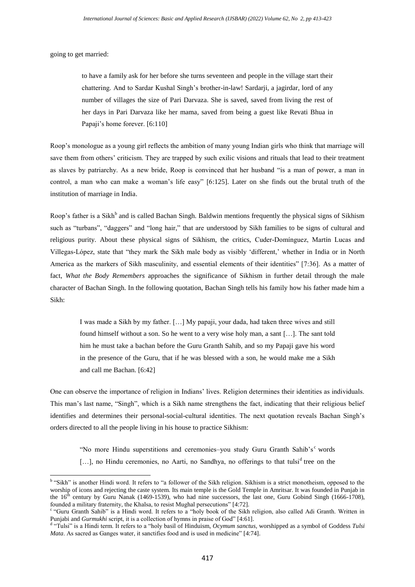going to get married:

 $\overline{\phantom{a}}$ 

to have a family ask for her before she turns seventeen and people in the village start their chattering. And to Sardar Kushal Singh's brother-in-law! Sardarji, a jagirdar, lord of any number of villages the size of Pari Darvaza. She is saved, saved from living the rest of her days in Pari Darvaza like her mama, saved from being a guest like Revati Bhua in Papaji's home forever. [6:110]

Roop's monologue as a young girl reflects the ambition of many young Indian girls who think that marriage will save them from others' criticism. They are trapped by such exilic visions and rituals that lead to their treatment as slaves by patriarchy. As a new bride, Roop is convinced that her husband "is a man of power, a man in control, a man who can make a woman's life easy" [6:125]. Later on she finds out the brutal truth of the institution of marriage in India.

Roop's father is a Sikh<sup>b</sup> and is called Bachan Singh. Baldwin mentions frequently the physical signs of Sikhism such as "turbans", "daggers" and "long hair," that are understood by Sikh families to be signs of cultural and religious purity. About these physical signs of Sikhism, the critics, Cuder-Domínguez, Martín Lucas and Villegas-López, state that "they mark the Sikh male body as visibly 'different,' whether in India or in North America as the markers of Sikh masculinity, and essential elements of their identities" [7:36]. As a matter of fact, *What the Body Remembers* approaches the significance of Sikhism in further detail through the male character of Bachan Singh. In the following quotation, Bachan Singh tells his family how his father made him a Sikh:

I was made a Sikh by my father. […] My papaji, your dada, had taken three wives and still found himself without a son. So he went to a very wise holy man, a sant […]. The sant told him he must take a bachan before the Guru Granth Sahib, and so my Papaji gave his word in the presence of the Guru, that if he was blessed with a son, he would make me a Sikh and call me Bachan. [6:42]

One can observe the importance of religion in Indians' lives. Religion determines their identities as individuals. This man's last name, "Singh", which is a Sikh name strengthens the fact, indicating that their religious belief identifies and determines their personal-social-cultural identities. The next quotation reveals Bachan Singh's orders directed to all the people living in his house to practice Sikhism:

"No more Hindu superstitions and ceremonies–you study Guru Granth Sahib's c words [...], no Hindu ceremonies, no Aarti, no Sandhya, no offerings to that tulsi<sup>d</sup> tree on the

<sup>&</sup>lt;sup>b</sup> "Sikh" is another Hindi word. It refers to "a follower of the Sikh religion. Sikhism is a strict monotheism, opposed to the worship of icons and rejecting the caste system. Its main temple is the Gold Temple in Amritsar. It was founded in Punjab in the  $16<sup>th</sup>$  century by Guru Nanak (1469-1539), who had nine successors, the last one, Guru Gobind Singh (1666-1708), founded a military fraternity, the Khalsa, to resist Mughal persecutions" [4:72].

c "Guru Granth Sahib" is a Hindi word. It refers to a "holy book of the Sikh religion, also called Adi Granth. Written in Punjabi and *Gurmukhi* script, it is a collection of hymns in praise of God" [4:61].

d "Tulsi" is a Hindi term. It refers to a "holy basil of Hinduism, *Ocymum sanctus*, worshipped as a symbol of Goddess *Tulsi Mata*. As sacred as Ganges water, it sanctifies food and is used in medicine" [4:74].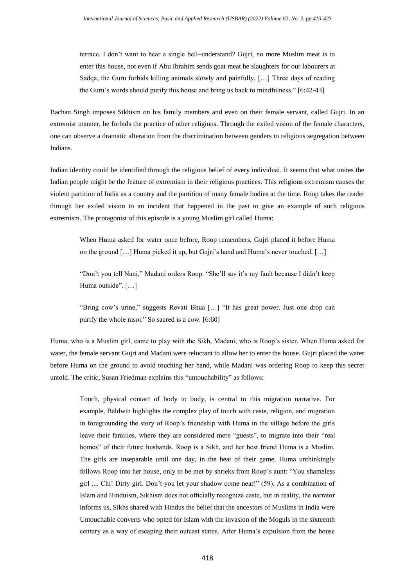terrace. I don't want to hear a single bell–understand? Gujri, no more Muslim meat is to enter this house, not even if Abu Ibrahim sends goat meat he slaughters for our labourers at Sadqa, the Guru forbids killing animals slowly and painfully. […] Three days of reading the Guru's words should purify this house and bring us back to mindfulness." [6:42-43]

Bachan Singh imposes Sikhism on his family members and even on their female servant, called Gujri. In an extremist manner, he forbids the practice of other religions. Through the exiled vision of the female characters, one can observe a dramatic alteration from the discrimination between genders to religious segregation between Indians.

Indian identity could be identified through the religious belief of every individual. It seems that what unites the Indian people might be the feature of extremism in their religious practices. This religious extremism causes the violent partition of India as a country and the partition of many female bodies at the time. Roop takes the reader through her exiled vision to an incident that happened in the past to give an example of such religious extremism. The protagonist of this episode is a young Muslim girl called Huma:

When Huma asked for water once before, Roop remembers, Gujri placed it before Huma on the ground […] Huma picked it up, but Gujri's hand and Huma's never touched. […]

"Don't you tell Nani," Madani orders Roop. "She'll say it's my fault because I didn't keep Huma outside". […]

"Bring cow's urine," suggests Revati Bhua […] "It has great power. Just one drop can purify the whole rasoi." So sacred is a cow. [6:60]

Huma, who is a Muslim girl, came to play with the Sikh, Madani, who is Roop's sister. When Huma asked for water, the female servant Gujri and Madani were reluctant to allow her to enter the house. Gujri placed the water before Huma on the ground to avoid touching her hand, while Madani was ordering Roop to keep this secret untold. The critic, Susan Friedman explains this "untouchability" as follows:

Touch, physical contact of body to body, is central to this migration narrative. For example, Baldwin highlights the complex play of touch with caste, religion, and migration in foregrounding the story of Roop's friendship with Huma in the village before the girls leave their families, where they are considered mere "guests", to migrate into their "real homes" of their future husbands. Roop is a Sikh, and her best friend Huma is a Muslim. The girls are inseparable until one day, in the heat of their game, Huma unthinkingly follows Roop into her house, only to be met by shrieks from Roop's aunt: "You shameless girl .... Chi! Dirty girl. Don't you let your shadow come near!" (59). As a combination of Islam and Hinduism, Sikhism does not officially recognize caste, but in reality, the narrator informs us, Sikhs shared with Hindus the belief that the ancestors of Muslims in India were Untouchable converts who opted for Islam with the invasion of the Moguls in the sixteenth century as a way of escaping their outcast status. After Huma's expulsion from the house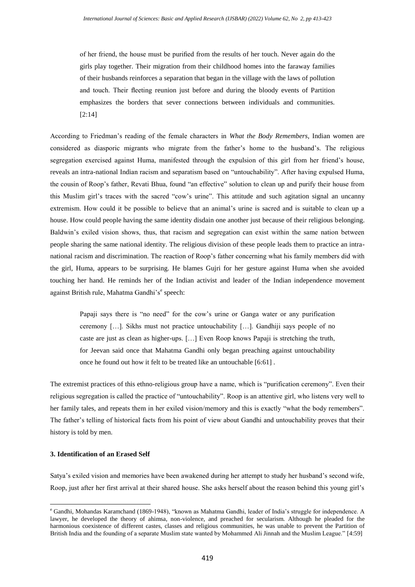of her friend, the house must be purified from the results of her touch. Never again do the girls play together. Their migration from their childhood homes into the faraway families of their husbands reinforces a separation that began in the village with the laws of pollution and touch. Their fleeting reunion just before and during the bloody events of Partition emphasizes the borders that sever connections between individuals and communities. [2:14]

According to Friedman's reading of the female characters in *What the Body Remembers*, Indian women are considered as diasporic migrants who migrate from the father's home to the husband's. The religious segregation exercised against Huma, manifested through the expulsion of this girl from her friend's house, reveals an intra-national Indian racism and separatism based on "untouchability". After having expulsed Huma, the cousin of Roop's father, Revati Bhua, found "an effective" solution to clean up and purify their house from this Muslim girl's traces with the sacred "cow's urine". This attitude and such agitation signal an uncanny extremism. How could it be possible to believe that an animal's urine is sacred and is suitable to clean up a house. How could people having the same identity disdain one another just because of their religious belonging. Baldwin's exiled vision shows, thus, that racism and segregation can exist within the same nation between people sharing the same national identity. The religious division of these people leads them to practice an intranational racism and discrimination. The reaction of Roop's father concerning what his family members did with the girl, Huma, appears to be surprising. He blames Gujri for her gesture against Huma when she avoided touching her hand. He reminds her of the Indian activist and leader of the Indian independence movement against British rule, Mahatma Gandhi's<sup>e</sup> speech:

Papaji says there is "no need" for the cow's urine or Ganga water or any purification ceremony […]. Sikhs must not practice untouchability […]. Gandhiji says people of no caste are just as clean as higher-ups. […] Even Roop knows Papaji is stretching the truth, for Jeevan said once that Mahatma Gandhi only began preaching against untouchability once he found out how it felt to be treated like an untouchable [6:61] .

The extremist practices of this ethno-religious group have a name, which is "purification ceremony". Even their religious segregation is called the practice of "untouchability". Roop is an attentive girl, who listens very well to her family tales, and repeats them in her exiled vision/memory and this is exactly "what the body remembers". The father's telling of historical facts from his point of view about Gandhi and untouchability proves that their history is told by men.

#### **3. Identification of an Erased Self**

**.** 

Satya's exiled vision and memories have been awakened during her attempt to study her husband's second wife, Roop, just after her first arrival at their shared house. She asks herself about the reason behind this young girl's

<sup>e</sup> Gandhi, Mohandas Karamchand (1869-1948), "known as Mahatma Gandhi, leader of India's struggle for independence. A lawyer, he developed the theory of ahimsa, non-violence, and preached for secularism. Although he pleaded for the harmonious coexistence of different castes, classes and religious communities, he was unable to prevent the Partition of British India and the founding of a separate Muslim state wanted by Mohammed Ali Jinnah and the Muslim League." [4:59]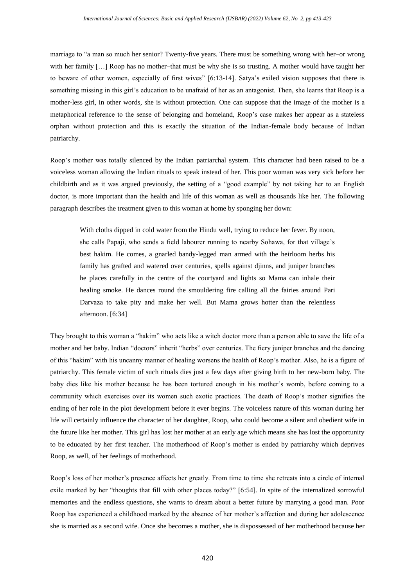marriage to "a man so much her senior? Twenty-five years. There must be something wrong with her–or wrong with her family […] Roop has no mother–that must be why she is so trusting. A mother would have taught her to beware of other women, especially of first wives" [6:13-14]. Satya's exiled vision supposes that there is something missing in this girl's education to be unafraid of her as an antagonist. Then, she learns that Roop is a mother-less girl, in other words, she is without protection. One can suppose that the image of the mother is a metaphorical reference to the sense of belonging and homeland, Roop's case makes her appear as a stateless orphan without protection and this is exactly the situation of the Indian-female body because of Indian patriarchy.

Roop's mother was totally silenced by the Indian patriarchal system. This character had been raised to be a voiceless woman allowing the Indian rituals to speak instead of her. This poor woman was very sick before her childbirth and as it was argued previously, the setting of a "good example" by not taking her to an English doctor, is more important than the health and life of this woman as well as thousands like her. The following paragraph describes the treatment given to this woman at home by sponging her down:

With cloths dipped in cold water from the Hindu well, trying to reduce her fever. By noon, she calls Papaji, who sends a field labourer running to nearby Sohawa, for that village's best hakim. He comes, a gnarled bandy-legged man armed with the heirloom herbs his family has grafted and watered over centuries, spells against djinns, and juniper branches he places carefully in the centre of the courtyard and lights so Mama can inhale their healing smoke. He dances round the smouldering fire calling all the fairies around Pari Darvaza to take pity and make her well. But Mama grows hotter than the relentless afternoon. [6:34]

They brought to this woman a "hakim" who acts like a witch doctor more than a person able to save the life of a mother and her baby. Indian "doctors" inherit "herbs" over centuries. The fiery juniper branches and the dancing of this "hakim" with his uncanny manner of healing worsens the health of Roop's mother. Also, he is a figure of patriarchy. This female victim of such rituals dies just a few days after giving birth to her new-born baby. The baby dies like his mother because he has been tortured enough in his mother's womb, before coming to a community which exercises over its women such exotic practices. The death of Roop's mother signifies the ending of her role in the plot development before it ever begins. The voiceless nature of this woman during her life will certainly influence the character of her daughter, Roop, who could become a silent and obedient wife in the future like her mother. This girl has lost her mother at an early age which means she has lost the opportunity to be educated by her first teacher. The motherhood of Roop's mother is ended by patriarchy which deprives Roop, as well, of her feelings of motherhood.

Roop's loss of her mother's presence affects her greatly. From time to time she retreats into a circle of internal exile marked by her "thoughts that fill with other places today?" [6:54]. In spite of the internalized sorrowful memories and the endless questions, she wants to dream about a better future by marrying a good man. Poor Roop has experienced a childhood marked by the absence of her mother's affection and during her adolescence she is married as a second wife. Once she becomes a mother, she is dispossessed of her motherhood because her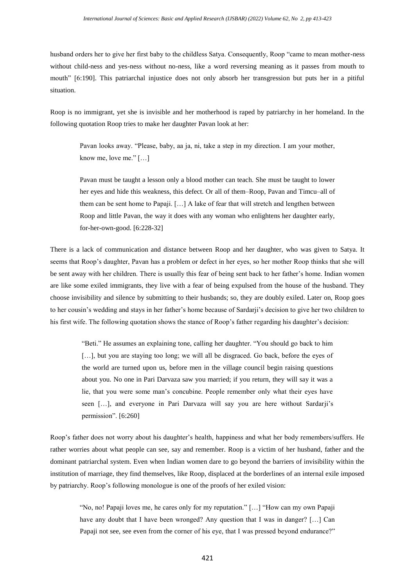husband orders her to give her first baby to the childless Satya. Consequently, Roop "came to mean mother-ness without child-ness and yes-ness without no-ness, like a word reversing meaning as it passes from mouth to mouth" [6:190]. This patriarchal injustice does not only absorb her transgression but puts her in a pitiful situation.

Roop is no immigrant, yet she is invisible and her motherhood is raped by patriarchy in her homeland. In the following quotation Roop tries to make her daughter Pavan look at her:

Pavan looks away. "Please, baby, aa ja, ni, take a step in my direction. I am your mother, know me, love me." […]

Pavan must be taught a lesson only a blood mother can teach. She must be taught to lower her eyes and hide this weakness, this defect. Or all of them–Roop, Pavan and Timcu–all of them can be sent home to Papaji. […] A lake of fear that will stretch and lengthen between Roop and little Pavan, the way it does with any woman who enlightens her daughter early, for-her-own-good. [6:228-32]

There is a lack of communication and distance between Roop and her daughter, who was given to Satya. It seems that Roop's daughter, Pavan has a problem or defect in her eyes, so her mother Roop thinks that she will be sent away with her children. There is usually this fear of being sent back to her father's home. Indian women are like some exiled immigrants, they live with a fear of being expulsed from the house of the husband. They choose invisibility and silence by submitting to their husbands; so, they are doubly exiled. Later on, Roop goes to her cousin's wedding and stays in her father's home because of Sardarji's decision to give her two children to his first wife. The following quotation shows the stance of Roop's father regarding his daughter's decision:

> "Beti." He assumes an explaining tone, calling her daughter. "You should go back to him [...], but you are staying too long; we will all be disgraced. Go back, before the eyes of the world are turned upon us, before men in the village council begin raising questions about you. No one in Pari Darvaza saw you married; if you return, they will say it was a lie, that you were some man's concubine. People remember only what their eyes have seen […], and everyone in Pari Darvaza will say you are here without Sardarji's permission". [6:260]

Roop's father does not worry about his daughter's health, happiness and what her body remembers/suffers. He rather worries about what people can see, say and remember. Roop is a victim of her husband, father and the dominant patriarchal system. Even when Indian women dare to go beyond the barriers of invisibility within the institution of marriage, they find themselves, like Roop, displaced at the borderlines of an internal exile imposed by patriarchy. Roop's following monologue is one of the proofs of her exiled vision:

"No, no! Papaji loves me, he cares only for my reputation." […] "How can my own Papaji have any doubt that I have been wronged? Any question that I was in danger? […] Can Papaji not see, see even from the corner of his eye, that I was pressed beyond endurance?"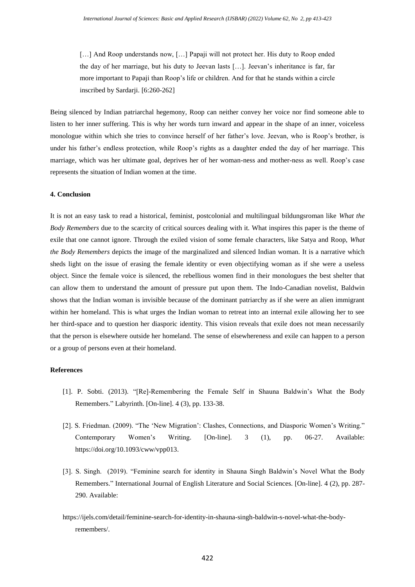[...] And Roop understands now, [...] Papaji will not protect her. His duty to Roop ended the day of her marriage, but his duty to Jeevan lasts […]. Jeevan's inheritance is far, far more important to Papaji than Roop's life or children. And for that he stands within a circle inscribed by Sardarji. [6:260-262]

Being silenced by Indian patriarchal hegemony, Roop can neither convey her voice nor find someone able to listen to her inner suffering. This is why her words turn inward and appear in the shape of an inner, voiceless monologue within which she tries to convince herself of her father's love. Jeevan, who is Roop's brother, is under his father's endless protection, while Roop's rights as a daughter ended the day of her marriage. This marriage, which was her ultimate goal, deprives her of her woman-ness and mother-ness as well. Roop's case represents the situation of Indian women at the time.

#### **4. Conclusion**

It is not an easy task to read a historical, feminist, postcolonial and multilingual bildungsroman like *What the Body Remembers* due to the scarcity of critical sources dealing with it. What inspires this paper is the theme of exile that one cannot ignore. Through the exiled vision of some female characters, like Satya and Roop, *What the Body Remembers* depicts the image of the marginalized and silenced Indian woman. It is a narrative which sheds light on the issue of erasing the female identity or even objectifying woman as if she were a useless object. Since the female voice is silenced, the rebellious women find in their monologues the best shelter that can allow them to understand the amount of pressure put upon them. The Indo-Canadian novelist, Baldwin shows that the Indian woman is invisible because of the dominant patriarchy as if she were an alien immigrant within her homeland. This is what urges the Indian woman to retreat into an internal exile allowing her to see her third-space and to question her diasporic identity. This vision reveals that exile does not mean necessarily that the person is elsewhere outside her homeland. The sense of elsewhereness and exile can happen to a person or a group of persons even at their homeland.

#### **References**

- [1]. P. Sobti. (2013). "[Re]-Remembering the Female Self in Shauna Baldwin's What the Body Remembers." Labyrinth. [On-line]. 4 (3), pp. 133-38.
- [2]. S. Friedman. (2009). "The 'New Migration': Clashes, Connections, and Diasporic Women's Writing." Contemporary Women's Writing. [On-line]. 3 (1), pp. 06-27. Available: [https://doi.org/10.1093/cww/vpp013.](https://doi.org/10.1093/cww/vpp013)
- [3]. S. Singh. (2019). "Feminine search for identity in Shauna Singh Baldwin's Novel What the Body Remembers." International Journal of English Literature and Social Sciences. [On-line]. 4 (2), pp. 287- 290. Available:
- [https://ijels.com/detail/feminine-search-for-identity-in-shauna-singh-baldwin-s-novel-what-the-body](https://ijels.com/detail/feminine-search-for-identity-in-shauna-singh-baldwin-s-novel-what-the-body-remembers/)[remembers/.](https://ijels.com/detail/feminine-search-for-identity-in-shauna-singh-baldwin-s-novel-what-the-body-remembers/)